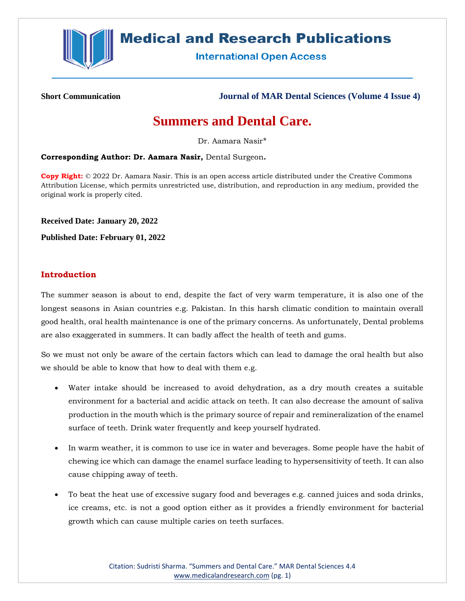

## **Medical and Research Publications**

**International Open Access** 

**Short Communication Journal of MAR Dental Sciences (Volume 4 Issue 4)**

## **Summers and Dental Care.**

Dr. Aamara Nasir\*

**Corresponding Author: Dr. Aamara Nasir,** Dental Surgeon**.**

**Copy Right:** © 2022 Dr. Aamara Nasir. This is an open access article distributed under the Creative Commons Attribution License, which permits unrestricted use, distribution, and reproduction in any medium, provided the original work is properly cited.

**Received Date: January 20, 2022**

**Published Date: February 01, 2022**

## **Introduction**

The summer season is about to end, despite the fact of very warm temperature, it is also one of the longest seasons in Asian countries e.g. Pakistan. In this harsh climatic condition to maintain overall good health, oral health maintenance is one of the primary concerns. As unfortunately, Dental problems are also exaggerated in summers. It can badly affect the health of teeth and gums.

So we must not only be aware of the certain factors which can lead to damage the oral health but also we should be able to know that how to deal with them e.g.

- Water intake should be increased to avoid dehydration, as a dry mouth creates a suitable environment for a bacterial and acidic attack on teeth. It can also decrease the amount of saliva production in the mouth which is the primary source of repair and remineralization of the enamel surface of teeth. Drink water frequently and keep yourself hydrated.
- In warm weather, it is common to use ice in water and beverages. Some people have the habit of chewing ice which can damage the enamel surface leading to hypersensitivity of teeth. It can also cause chipping away of teeth.
- To beat the heat use of excessive sugary food and beverages e.g. canned juices and soda drinks, ice creams, etc. is not a good option either as it provides a friendly environment for bacterial growth which can cause multiple caries on teeth surfaces.